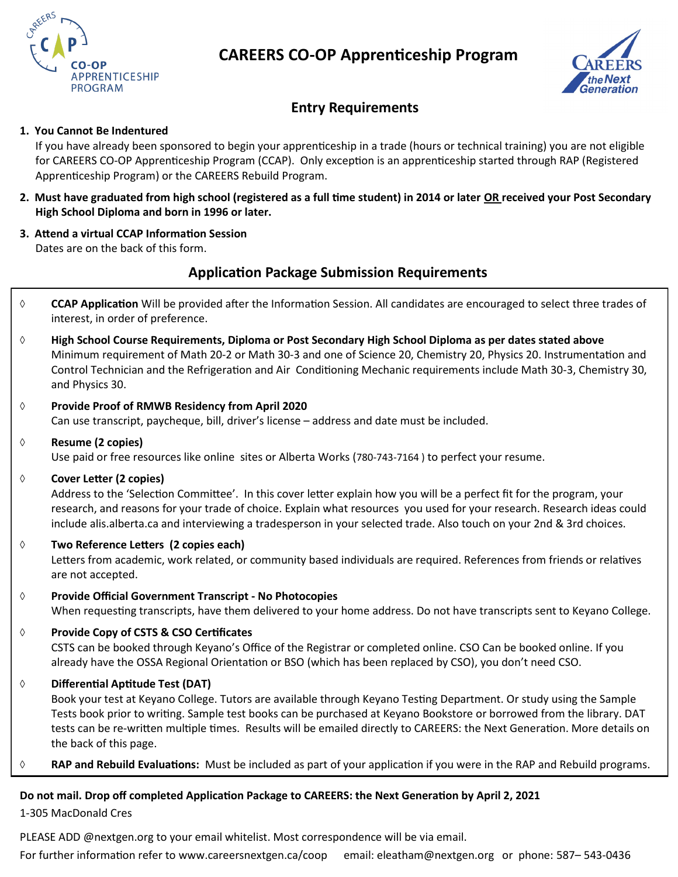



## **Entry Requirements**

#### **1. You Cannot Be Indentured**

If you have already been sponsored to begin your apprenticeship in a trade (hours or technical training) you are not eligible for CAREERS CO-OP Apprenticeship Program (CCAP). Only exception is an apprenticeship started through RAP (Registered Apprenticeship Program) or the CAREERS Rebuild Program.

- **2. Must have graduated from high school (registered as a full time student) in 2014 or later OR received your Post Secondary High School Diploma and born in 1996 or later.**
- **3. Attend a virtual CCAP Information Session**  Dates are on the back of this form.

#### **Application Package Submission Requirements**

- **CCAP Application** Will be provided after the Information Session. All candidates are encouraged to select three trades of interest, in order of preference.
- **High School Course Requirements, Diploma or Post Secondary High School Diploma as per dates stated above**  Minimum requirement of Math 20-2 or Math 30-3 and one of Science 20, Chemistry 20, Physics 20. Instrumentation and Control Technician and the Refrigeration and Air Conditioning Mechanic requirements include Math 30-3, Chemistry 30, and Physics 30.
- **Provide Proof of RMWB Residency from April 2020**  Can use transcript, paycheque, bill, driver's license – address and date must be included.
- **Resume (2 copies)**

Use paid or free resources like online sites or Alberta Works (780-743-7164 ) to perfect your resume.

**Cover Letter (2 copies)** 

Address to the 'Selection Committee'. In this cover letter explain how you will be a perfect fit for the program, your research, and reasons for your trade of choice. Explain what resources you used for your research. Research ideas could include alis.alberta.ca and interviewing a tradesperson in your selected trade. Also touch on your 2nd & 3rd choices.

**Two Reference Letters (2 copies each)** 

Letters from academic, work related, or community based individuals are required. References from friends or relatives are not accepted.

- **Provide Official Government Transcript - No Photocopies**  When requesting transcripts, have them delivered to your home address. Do not have transcripts sent to Keyano College.
- **Provide Copy of CSTS & CSO Certificates**

CSTS can be booked through Keyano's Office of the Registrar or completed online. CSO Can be booked online. If you already have the OSSA Regional Orientation or BSO (which has been replaced by CSO), you don't need CSO.

**Differential Aptitude Test (DAT)** 

Book your test at Keyano College. Tutors are available through Keyano Testing Department. Or study using the Sample Tests book prior to writing. Sample test books can be purchased at Keyano Bookstore or borrowed from the library. DAT tests can be re-written multiple times. Results will be emailed directly to CAREERS: the Next Generation. More details on the back of this page.

**RAP and Rebuild Evaluations:** Must be included as part of your application if you were in the RAP and Rebuild programs.

#### **Do not mail. Drop off completed Application Package to CAREERS: the Next Generation by April 2, 2021**

1-305 MacDonald Cres

PLEASE ADD @nextgen.org to your email whitelist. Most correspondence will be via email.

For further information refer to www.careersnextgen.ca/coop email: eleatham@nextgen.org or phone: 587– 543-0436